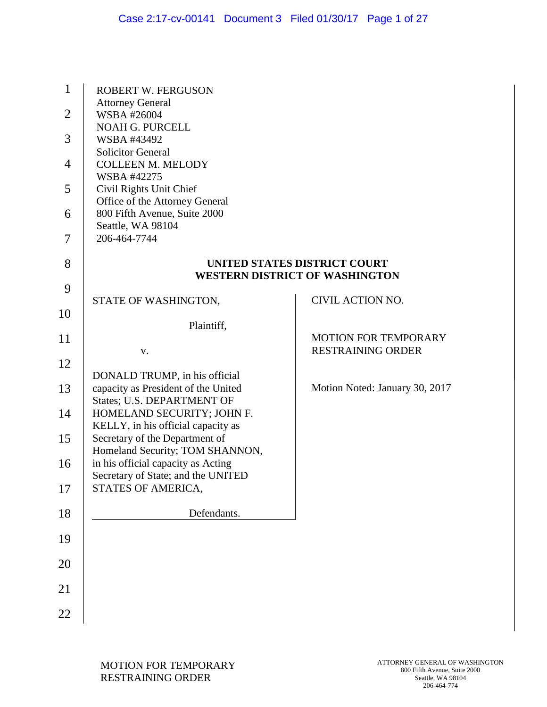| 1              | <b>ROBERT W. FERGUSON</b>                                             |                                                                              |
|----------------|-----------------------------------------------------------------------|------------------------------------------------------------------------------|
| $\overline{2}$ | <b>Attorney General</b><br>WSBA #26004                                |                                                                              |
| 3              | <b>NOAH G. PURCELL</b><br>WSBA #43492                                 |                                                                              |
|                | <b>Solicitor General</b>                                              |                                                                              |
| $\overline{4}$ | <b>COLLEEN M. MELODY</b><br>WSBA #42275                               |                                                                              |
| 5              | Civil Rights Unit Chief<br>Office of the Attorney General             |                                                                              |
| 6              | 800 Fifth Avenue, Suite 2000                                          |                                                                              |
| 7              | Seattle, WA 98104<br>206-464-7744                                     |                                                                              |
| 8              |                                                                       | <b>UNITED STATES DISTRICT COURT</b><br><b>WESTERN DISTRICT OF WASHINGTON</b> |
| 9              |                                                                       |                                                                              |
| 10             | STATE OF WASHINGTON,                                                  | CIVIL ACTION NO.                                                             |
| 11             | Plaintiff,                                                            | <b>MOTION FOR TEMPORARY</b>                                                  |
|                | V.                                                                    | <b>RESTRAINING ORDER</b>                                                     |
| 12             | DONALD TRUMP, in his official                                         |                                                                              |
| 13             | capacity as President of the United                                   | Motion Noted: January 30, 2017                                               |
| 14             | States; U.S. DEPARTMENT OF<br>HOMELAND SECURITY; JOHN F.              |                                                                              |
| 15             | KELLY, in his official capacity as<br>Secretary of the Department of  |                                                                              |
|                | Homeland Security; TOM SHANNON,<br>in his official capacity as Acting |                                                                              |
| 16             | Secretary of State; and the UNITED                                    |                                                                              |
| 17             | STATES OF AMERICA,                                                    |                                                                              |
| 18             | Defendants.                                                           |                                                                              |
| 19             |                                                                       |                                                                              |
| 20             |                                                                       |                                                                              |
| 21             |                                                                       |                                                                              |
| 22             |                                                                       |                                                                              |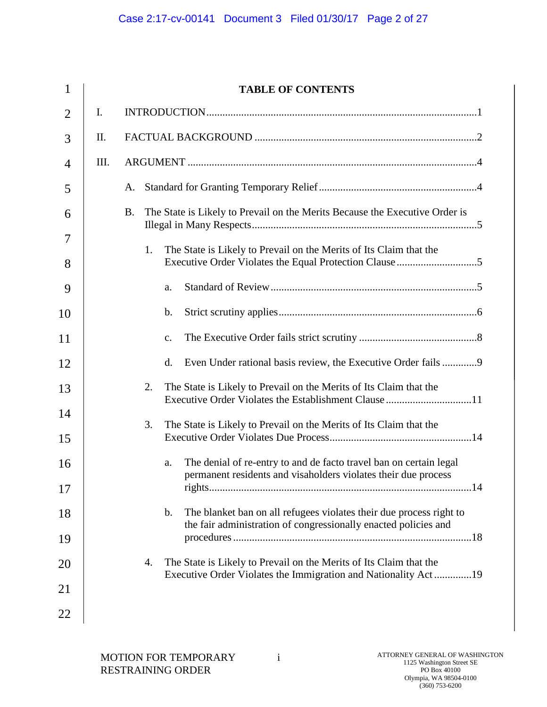| $\mathbf{1}$   |     | <b>TABLE OF CONTENTS</b>                                                                                                                     |
|----------------|-----|----------------------------------------------------------------------------------------------------------------------------------------------|
| $\overline{2}$ | I.  |                                                                                                                                              |
| 3              | II. |                                                                                                                                              |
| 4              | Ш.  |                                                                                                                                              |
| 5              |     | A.                                                                                                                                           |
| 6              |     | The State is Likely to Prevail on the Merits Because the Executive Order is<br><b>B.</b>                                                     |
| 7<br>8         |     | 1.<br>The State is Likely to Prevail on the Merits of Its Claim that the                                                                     |
| 9              |     | a.                                                                                                                                           |
| 10             |     | b.                                                                                                                                           |
| 11             |     | $C_{\bullet}$                                                                                                                                |
| 12             |     | d.                                                                                                                                           |
| 13             |     | The State is Likely to Prevail on the Merits of Its Claim that the<br>2.                                                                     |
| 14<br>15       |     | 3.<br>The State is Likely to Prevail on the Merits of Its Claim that the                                                                     |
| 16             |     | The denial of re-entry to and de facto travel ban on certain legal<br>a.                                                                     |
| 17             |     | permanent residents and visaholders violates their due process                                                                               |
| 18             |     | The blanket ban on all refugees violates their due process right to<br>b.<br>the fair administration of congressionally enacted policies and |
| 19             |     |                                                                                                                                              |
| 20             |     | The State is Likely to Prevail on the Merits of Its Claim that the<br>4.<br>Executive Order Violates the Immigration and Nationality Act19   |
| 21             |     |                                                                                                                                              |
| 22             |     |                                                                                                                                              |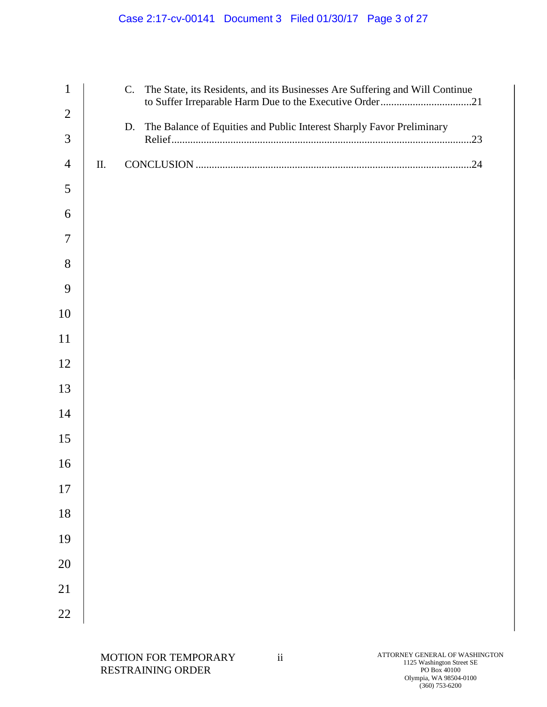# Case 2:17-cv-00141 Document 3 Filed 01/30/17 Page 3 of 27

| $\mathbf{1}$   |     | The State, its Residents, and its Businesses Are Suffering and Will Continue<br>$C_{\cdot}$ |  |
|----------------|-----|---------------------------------------------------------------------------------------------|--|
| $\overline{2}$ |     | to Suffer Irreparable Harm Due to the Executive Order21                                     |  |
| 3              |     | The Balance of Equities and Public Interest Sharply Favor Preliminary<br>D.                 |  |
| $\overline{4}$ | II. |                                                                                             |  |
| 5              |     |                                                                                             |  |
| 6              |     |                                                                                             |  |
| 7              |     |                                                                                             |  |
| 8              |     |                                                                                             |  |
| 9              |     |                                                                                             |  |
| 10             |     |                                                                                             |  |
| 11             |     |                                                                                             |  |
| 12             |     |                                                                                             |  |
| 13             |     |                                                                                             |  |
| 14             |     |                                                                                             |  |
| 15             |     |                                                                                             |  |
| 16             |     |                                                                                             |  |
| 17             |     |                                                                                             |  |
| 18             |     |                                                                                             |  |
| 19             |     |                                                                                             |  |
| 20             |     |                                                                                             |  |
| 21             |     |                                                                                             |  |
| 22             |     |                                                                                             |  |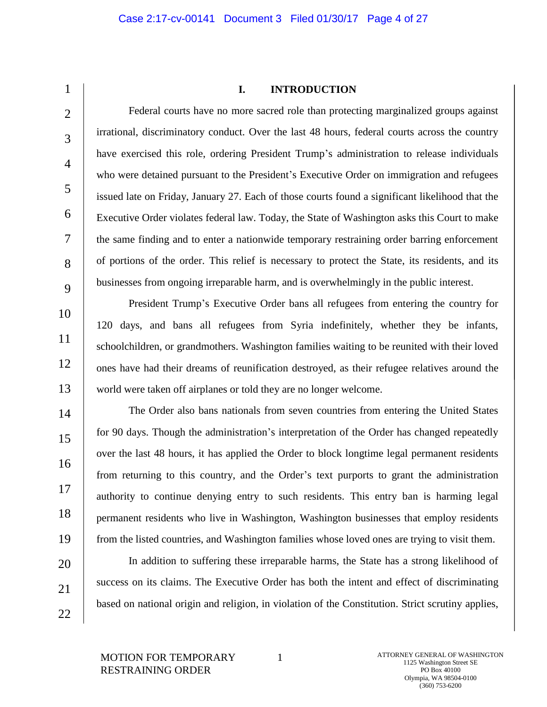1  $\mathfrak{D}$ 

3

4

5

6

7

8

9

10

11

12

13

14

15

16

17

18

19

20

21

22

#### **I. INTRODUCTION**

Federal courts have no more sacred role than protecting marginalized groups against irrational, discriminatory conduct. Over the last 48 hours, federal courts across the country have exercised this role, ordering President Trump's administration to release individuals who were detained pursuant to the President's Executive Order on immigration and refugees issued late on Friday, January 27. Each of those courts found a significant likelihood that the Executive Order violates federal law. Today, the State of Washington asks this Court to make the same finding and to enter a nationwide temporary restraining order barring enforcement of portions of the order. This relief is necessary to protect the State, its residents, and its businesses from ongoing irreparable harm, and is overwhelmingly in the public interest.

President Trump's Executive Order bans all refugees from entering the country for 120 days, and bans all refugees from Syria indefinitely, whether they be infants, schoolchildren, or grandmothers. Washington families waiting to be reunited with their loved ones have had their dreams of reunification destroyed, as their refugee relatives around the world were taken off airplanes or told they are no longer welcome.

The Order also bans nationals from seven countries from entering the United States for 90 days. Though the administration's interpretation of the Order has changed repeatedly over the last 48 hours, it has applied the Order to block longtime legal permanent residents from returning to this country, and the Order's text purports to grant the administration authority to continue denying entry to such residents. This entry ban is harming legal permanent residents who live in Washington, Washington businesses that employ residents from the listed countries, and Washington families whose loved ones are trying to visit them.

In addition to suffering these irreparable harms, the State has a strong likelihood of success on its claims. The Executive Order has both the intent and effect of discriminating based on national origin and religion, in violation of the Constitution. Strict scrutiny applies,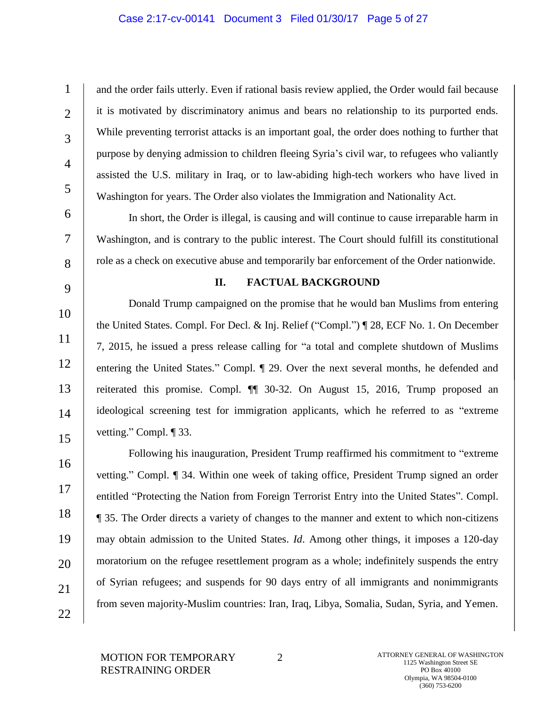## Case 2:17-cv-00141 Document 3 Filed 01/30/17 Page 5 of 27

1  $\mathcal{L}$ 3 4 5 and the order fails utterly. Even if rational basis review applied, the Order would fail because it is motivated by discriminatory animus and bears no relationship to its purported ends. While preventing terrorist attacks is an important goal, the order does nothing to further that purpose by denying admission to children fleeing Syria's civil war, to refugees who valiantly assisted the U.S. military in Iraq, or to law-abiding high-tech workers who have lived in Washington for years. The Order also violates the Immigration and Nationality Act.

In short, the Order is illegal, is causing and will continue to cause irreparable harm in Washington, and is contrary to the public interest. The Court should fulfill its constitutional role as a check on executive abuse and temporarily bar enforcement of the Order nationwide.

9

10

11

12

13

14

15

6

7

8

## **II. FACTUAL BACKGROUND**

Donald Trump campaigned on the promise that he would ban Muslims from entering the United States. Compl. For Decl. & Inj. Relief ("Compl.") ¶ 28, ECF No. 1. On December 7, 2015, he issued a press release calling for "a total and complete shutdown of Muslims entering the United States." Compl. ¶ 29. Over the next several months, he defended and reiterated this promise. Compl. ¶¶ 30-32. On August 15, 2016, Trump proposed an ideological screening test for immigration applicants, which he referred to as "extreme vetting." Compl. ¶ 33.

16 17 18 19 20 21 22 Following his inauguration, President Trump reaffirmed his commitment to "extreme vetting." Compl. ¶ 34. Within one week of taking office, President Trump signed an order entitled "Protecting the Nation from Foreign Terrorist Entry into the United States". Compl. ¶ 35. The Order directs a variety of changes to the manner and extent to which non-citizens may obtain admission to the United States. *Id*. Among other things, it imposes a 120-day moratorium on the refugee resettlement program as a whole; indefinitely suspends the entry of Syrian refugees; and suspends for 90 days entry of all immigrants and nonimmigrants from seven majority-Muslim countries: Iran, Iraq, Libya, Somalia, Sudan, Syria, and Yemen.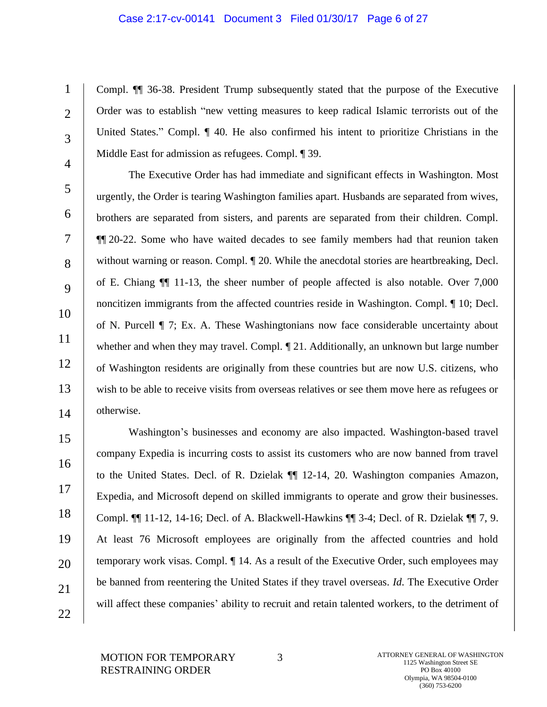#### Case 2:17-cv-00141 Document 3 Filed 01/30/17 Page 6 of 27

1  $\mathcal{L}$ 3 4 Compl. ¶¶ 36-38. President Trump subsequently stated that the purpose of the Executive Order was to establish "new vetting measures to keep radical Islamic terrorists out of the United States." Compl. ¶ 40. He also confirmed his intent to prioritize Christians in the Middle East for admission as refugees. Compl. ¶ 39.

The Executive Order has had immediate and significant effects in Washington. Most urgently, the Order is tearing Washington families apart. Husbands are separated from wives, brothers are separated from sisters, and parents are separated from their children. Compl. ¶¶ 20-22. Some who have waited decades to see family members had that reunion taken without warning or reason. Compl.  $\P$  20. While the anecdotal stories are heartbreaking, Decl. of E. Chiang ¶¶ 11-13, the sheer number of people affected is also notable. Over 7,000 noncitizen immigrants from the affected countries reside in Washington. Compl. ¶ 10; Decl. of N. Purcell ¶ 7; Ex. A. These Washingtonians now face considerable uncertainty about whether and when they may travel. Compl.  $\P$  21. Additionally, an unknown but large number of Washington residents are originally from these countries but are now U.S. citizens, who wish to be able to receive visits from overseas relatives or see them move here as refugees or otherwise.

15 16 17 18 19 20 21 22 Washington's businesses and economy are also impacted. Washington-based travel company Expedia is incurring costs to assist its customers who are now banned from travel to the United States. Decl. of R. Dzielak ¶¶ 12-14, 20. Washington companies Amazon, Expedia, and Microsoft depend on skilled immigrants to operate and grow their businesses. Compl. ¶¶ 11-12, 14-16; Decl. of A. Blackwell-Hawkins ¶¶ 3-4; Decl. of R. Dzielak ¶¶ 7, 9. At least 76 Microsoft employees are originally from the affected countries and hold temporary work visas. Compl. ¶ 14. As a result of the Executive Order, such employees may be banned from reentering the United States if they travel overseas. *Id*. The Executive Order will affect these companies' ability to recruit and retain talented workers, to the detriment of

5

6

7

8

9

10

11

12

13

14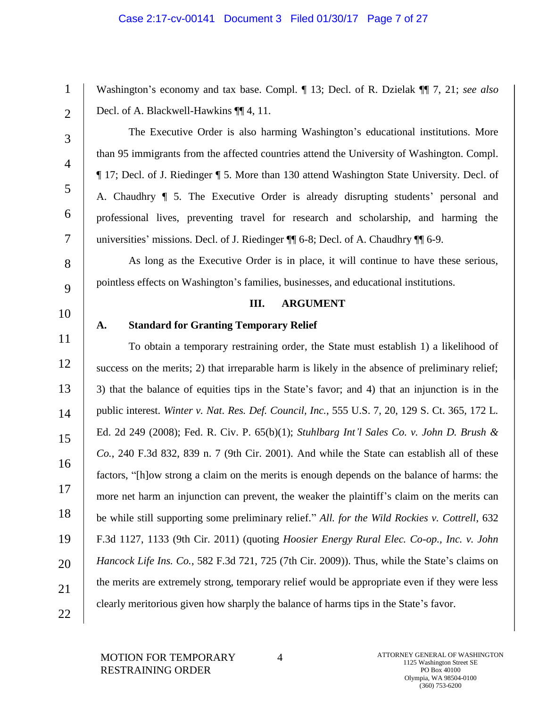## Case 2:17-cv-00141 Document 3 Filed 01/30/17 Page 7 of 27

Washington's economy and tax base. Compl. ¶ 13; Decl. of R. Dzielak ¶¶ 7, 21; *see also*  Decl. of A. Blackwell-Hawkins ¶¶ 4, 11.

 $\mathfrak{D}$ 

3

4

5

6

7

8

9

1

The Executive Order is also harming Washington's educational institutions. More than 95 immigrants from the affected countries attend the University of Washington. Compl. ¶ 17; Decl. of J. Riedinger ¶ 5. More than 130 attend Washington State University. Decl. of A. Chaudhry ¶ 5. The Executive Order is already disrupting students' personal and professional lives, preventing travel for research and scholarship, and harming the universities' missions. Decl. of J. Riedinger ¶¶ 6-8; Decl. of A. Chaudhry ¶¶ 6-9.

As long as the Executive Order is in place, it will continue to have these serious, pointless effects on Washington's families, businesses, and educational institutions.

#### **III. ARGUMENT**

# 10

## **A. Standard for Granting Temporary Relief**

11 12 13 14 15 16 17 18 19 20 21 22 To obtain a temporary restraining order, the State must establish 1) a likelihood of success on the merits; 2) that irreparable harm is likely in the absence of preliminary relief; 3) that the balance of equities tips in the State's favor; and 4) that an injunction is in the public interest. *Winter v. Nat. Res. Def. Council, Inc.*, 555 U.S. 7, 20, 129 S. Ct. 365, 172 L. Ed. 2d 249 (2008); Fed. R. Civ. P. 65(b)(1); *Stuhlbarg Int'l Sales Co. v. John D. Brush & Co.*, 240 F.3d 832, 839 n. 7 (9th Cir. 2001). And while the State can establish all of these factors, "[h]ow strong a claim on the merits is enough depends on the balance of harms: the more net harm an injunction can prevent, the weaker the plaintiff's claim on the merits can be while still supporting some preliminary relief." *All. for the Wild Rockies v. Cottrell*, 632 F.3d 1127, 1133 (9th Cir. 2011) (quoting *Hoosier Energy Rural Elec. Co-op., Inc. v. John Hancock Life Ins. Co.*, 582 F.3d 721, 725 (7th Cir. 2009)). Thus, while the State's claims on the merits are extremely strong, temporary relief would be appropriate even if they were less clearly meritorious given how sharply the balance of harms tips in the State's favor.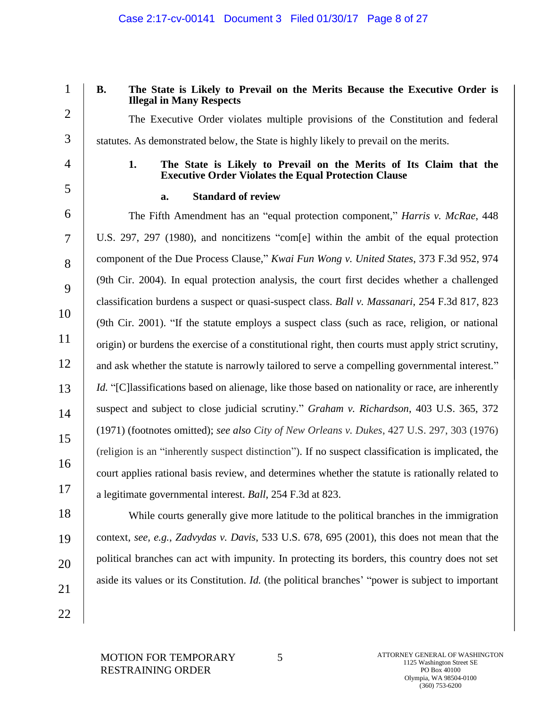1  $\mathfrak{D}$ 

3

# **B. The State is Likely to Prevail on the Merits Because the Executive Order is Illegal in Many Respects**

The Executive Order violates multiple provisions of the Constitution and federal statutes. As demonstrated below, the State is highly likely to prevail on the merits.

4

5

**1. The State is Likely to Prevail on the Merits of Its Claim that the Executive Order Violates the Equal Protection Clause**

# **a. Standard of review**

6 7 8 9 10 11 12 13 14 15 16 17 The Fifth Amendment has an "equal protection component," *Harris v. McRae*, 448 U.S. 297, 297 (1980), and noncitizens "com[e] within the ambit of the equal protection component of the Due Process Clause," *Kwai Fun Wong v. United States*, 373 F.3d 952, 974 (9th Cir. 2004). In equal protection analysis, the court first decides whether a challenged classification burdens a suspect or quasi-suspect class. *Ball v. Massanari*, 254 F.3d 817, 823 (9th Cir. 2001). "If the statute employs a suspect class (such as race, religion, or national origin) or burdens the exercise of a constitutional right, then courts must apply strict scrutiny, and ask whether the statute is narrowly tailored to serve a compelling governmental interest." Id. "[C]lassifications based on alienage, like those based on nationality or race, are inherently suspect and subject to close judicial scrutiny." *Graham v. Richardson*, 403 U.S. 365, 372 (1971) (footnotes omitted); *see also City of New Orleans v. Dukes*, 427 U.S. 297, 303 (1976) (religion is an "inherently suspect distinction"). If no suspect classification is implicated, the court applies rational basis review, and determines whether the statute is rationally related to a legitimate governmental interest. *Ball*, 254 F.3d at 823.

While courts generally give more latitude to the political branches in the immigration

context, *see, e.g.*, *Zadvydas v. Davis*, 533 U.S. 678, 695 (2001), this does not mean that the

political branches can act with impunity. In protecting its borders, this country does not set

aside its values or its Constitution. *Id.* (the political branches' "power is subject to important

22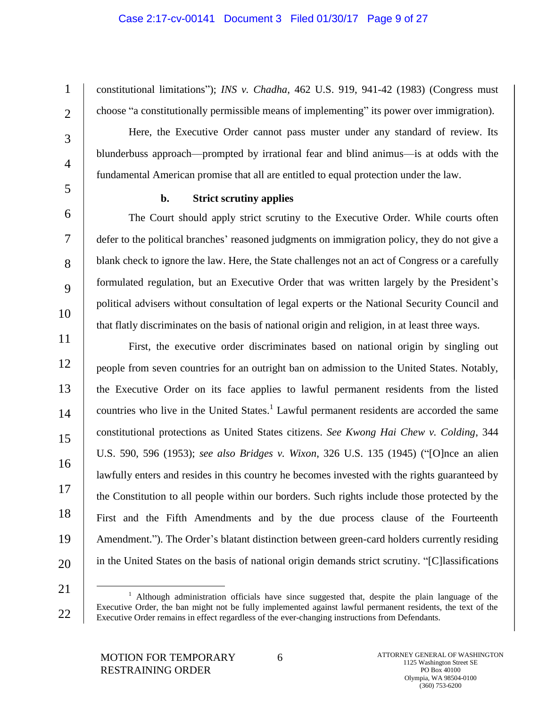## Case 2:17-cv-00141 Document 3 Filed 01/30/17 Page 9 of 27

constitutional limitations"); *INS v. Chadha*, 462 U.S. 919, 941-42 (1983) (Congress must choose "a constitutionally permissible means of implementing" its power over immigration).

Here, the Executive Order cannot pass muster under any standard of review. Its blunderbuss approach—prompted by irrational fear and blind animus—is at odds with the fundamental American promise that all are entitled to equal protection under the law.

1

 $\mathcal{L}$ 

3

4

5

6

7

8

9

10

# **b. Strict scrutiny applies**

The Court should apply strict scrutiny to the Executive Order. While courts often defer to the political branches' reasoned judgments on immigration policy, they do not give a blank check to ignore the law. Here, the State challenges not an act of Congress or a carefully formulated regulation, but an Executive Order that was written largely by the President's political advisers without consultation of legal experts or the National Security Council and that flatly discriminates on the basis of national origin and religion, in at least three ways.

11 12 13 14 15 16 17 18 19 20 First, the executive order discriminates based on national origin by singling out people from seven countries for an outright ban on admission to the United States. Notably, the Executive Order on its face applies to lawful permanent residents from the listed countries who live in the United States.<sup>1</sup> Lawful permanent residents are accorded the same constitutional protections as United States citizens. *See Kwong Hai Chew v. Colding*, 344 U.S. 590, 596 (1953); *see also Bridges v. Wixon*, 326 U.S. 135 (1945) ("[O]nce an alien lawfully enters and resides in this country he becomes invested with the rights guaranteed by the Constitution to all people within our borders. Such rights include those protected by the First and the Fifth Amendments and by the due process clause of the Fourteenth Amendment."). The Order's blatant distinction between green-card holders currently residing in the United States on the basis of national origin demands strict scrutiny. "[C]lassifications

21

 $\overline{a}$ 

<sup>22</sup> <sup>1</sup> Although administration officials have since suggested that, despite the plain language of the Executive Order, the ban might not be fully implemented against lawful permanent residents, the text of the Executive Order remains in effect regardless of the ever-changing instructions from Defendants.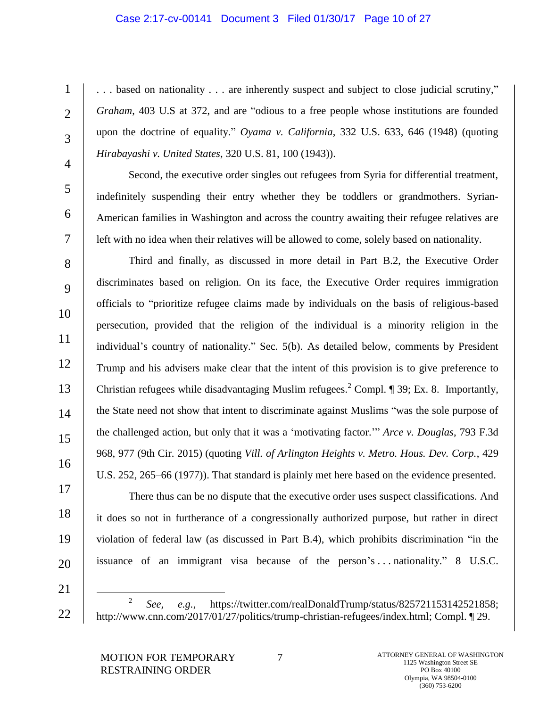#### Case 2:17-cv-00141 Document 3 Filed 01/30/17 Page 10 of 27

. . . based on nationality . . . are inherently suspect and subject to close judicial scrutiny," *Graham*, 403 U.S at 372, and are "odious to a free people whose institutions are founded upon the doctrine of equality." *Oyama v. California*, 332 U.S. 633, 646 (1948) (quoting *Hirabayashi v. United States*, 320 U.S. 81, 100 (1943)).

4 5

6

7

1

 $\mathfrak{D}$ 

3

Second, the executive order singles out refugees from Syria for differential treatment, indefinitely suspending their entry whether they be toddlers or grandmothers. Syrian-American families in Washington and across the country awaiting their refugee relatives are left with no idea when their relatives will be allowed to come, solely based on nationality.

8 9 10 11 12 13 14 15 16 Third and finally, as discussed in more detail in Part B.2, the Executive Order discriminates based on religion. On its face, the Executive Order requires immigration officials to "prioritize refugee claims made by individuals on the basis of religious-based persecution, provided that the religion of the individual is a minority religion in the individual's country of nationality." Sec. 5(b). As detailed below, comments by President Trump and his advisers make clear that the intent of this provision is to give preference to Christian refugees while disadvantaging Muslim refugees.<sup>2</sup> Compl.  $\P$  39; Ex. 8. Importantly, the State need not show that intent to discriminate against Muslims "was the sole purpose of the challenged action, but only that it was a 'motivating factor.'" *Arce v. Douglas*, 793 F.3d 968, 977 (9th Cir. 2015) (quoting *Vill. of Arlington Heights v. Metro. Hous. Dev. Corp.*, 429 U.S. 252, 265–66 (1977)). That standard is plainly met here based on the evidence presented.

17 18 19

- 20
- 21

There thus can be no dispute that the executive order uses suspect classifications. And

it does so not in furtherance of a congressionally authorized purpose, but rather in direct

violation of federal law (as discussed in Part B.4), which prohibits discrimination "in the

issuance of an immigrant visa because of the person's . . . nationality." 8 U.S.C.

<sup>22</sup>  $\overline{a}$  $\overline{2}$ *See, e.g.*, https://twitter.com/realDonaldTrump/status/825721153142521858; http://www.cnn.com/2017/01/27/politics/trump-christian-refugees/index.html; Compl. ¶ 29.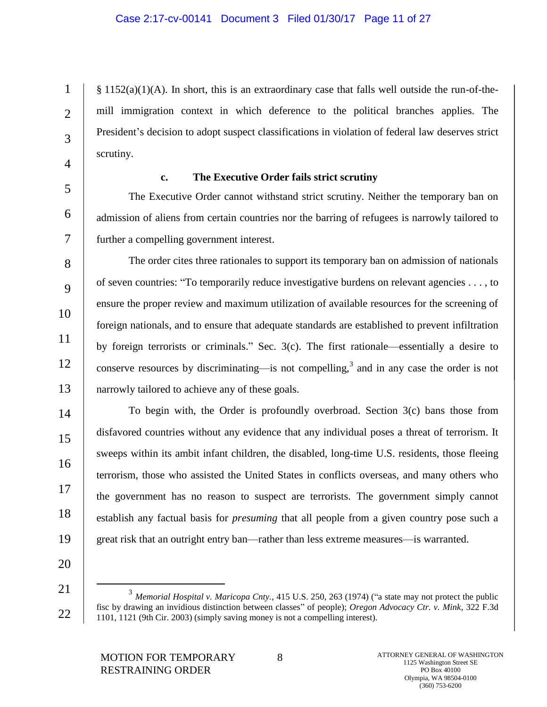$§ 1152(a)(1)(A)$ . In short, this is an extraordinary case that falls well outside the run-of-themill immigration context in which deference to the political branches applies. The President's decision to adopt suspect classifications in violation of federal law deserves strict scrutiny.

4 5

6

7

1

 $\mathcal{L}$ 

3

## **c. The Executive Order fails strict scrutiny**

The Executive Order cannot withstand strict scrutiny. Neither the temporary ban on admission of aliens from certain countries nor the barring of refugees is narrowly tailored to further a compelling government interest.

8 9 10 11 12 13 The order cites three rationales to support its temporary ban on admission of nationals of seven countries: "To temporarily reduce investigative burdens on relevant agencies . . . , to ensure the proper review and maximum utilization of available resources for the screening of foreign nationals, and to ensure that adequate standards are established to prevent infiltration by foreign terrorists or criminals." Sec. 3(c). The first rationale—essentially a desire to conserve resources by discriminating—is not compelling,<sup>3</sup> and in any case the order is not narrowly tailored to achieve any of these goals.

To begin with, the Order is profoundly overbroad. Section 3(c) bans those from disfavored countries without any evidence that any individual poses a threat of terrorism. It sweeps within its ambit infant children, the disabled, long-time U.S. residents, those fleeing terrorism, those who assisted the United States in conflicts overseas, and many others who the government has no reason to suspect are terrorists. The government simply cannot establish any factual basis for *presuming* that all people from a given country pose such a great risk that an outright entry ban—rather than less extreme measures—is warranted.

20

21

 $\overline{a}$ 

22

14

15

16

17

18

19

<sup>3</sup> *Memorial Hospital v. Maricopa Cnty.*, 415 U.S. 250, 263 (1974) ("a state may not protect the public fisc by drawing an invidious distinction between classes" of people); *Oregon Advocacy Ctr. v. Mink*, 322 F.3d 1101, 1121 (9th Cir. 2003) (simply saving money is not a compelling interest).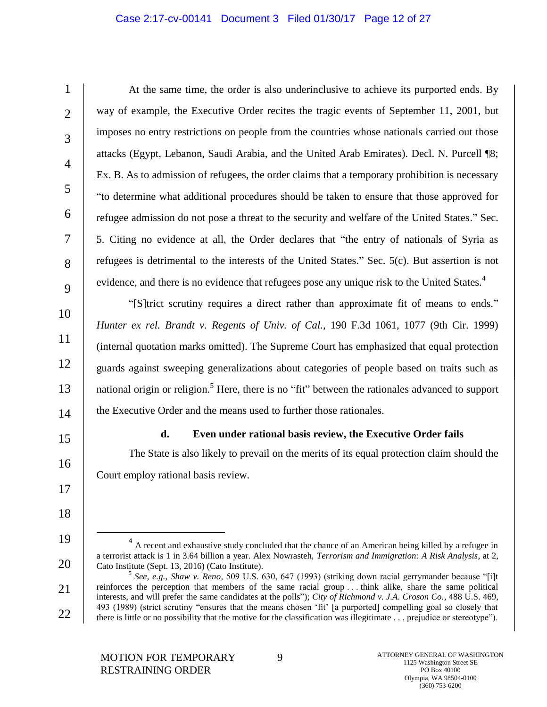## Case 2:17-cv-00141 Document 3 Filed 01/30/17 Page 12 of 27

At the same time, the order is also underinclusive to achieve its purported ends. By way of example, the Executive Order recites the tragic events of September 11, 2001, but imposes no entry restrictions on people from the countries whose nationals carried out those attacks (Egypt, Lebanon, Saudi Arabia, and the United Arab Emirates). Decl. N. Purcell ¶8; Ex. B. As to admission of refugees, the order claims that a temporary prohibition is necessary "to determine what additional procedures should be taken to ensure that those approved for refugee admission do not pose a threat to the security and welfare of the United States." Sec. 5. Citing no evidence at all, the Order declares that "the entry of nationals of Syria as refugees is detrimental to the interests of the United States." Sec. 5(c). But assertion is not evidence, and there is no evidence that refugees pose any unique risk to the United States.<sup>4</sup>

"[S]trict scrutiny requires a direct rather than approximate fit of means to ends." *Hunter ex rel. Brandt v. Regents of Univ. of Cal.*, 190 F.3d 1061, 1077 (9th Cir. 1999) (internal quotation marks omitted). The Supreme Court has emphasized that equal protection guards against sweeping generalizations about categories of people based on traits such as national origin or religion.<sup>5</sup> Here, there is no "fit" between the rationales advanced to support the Executive Order and the means used to further those rationales.

15

16

17

18

19

l

20

14

1

 $\mathcal{L}$ 

3

4

5

6

7

8

9

10

11

12

13

## **d. Even under rational basis review, the Executive Order fails**

The State is also likely to prevail on the merits of its equal protection claim should the Court employ rational basis review.

 $4\,$  A recent and exhaustive study concluded that the chance of an American being killed by a refugee in a terrorist attack is 1 in 3.64 billion a year. Alex Nowrasteh, *Terrorism and Immigration: A Risk Analysis*, at 2, Cato Institute (Sept. 13, 2016) (Cato Institute).

<sup>21</sup> 22 5 *See, e.g.*, *Shaw v. Reno*, 509 U.S. 630, 647 (1993) (striking down racial gerrymander because "[i]t reinforces the perception that members of the same racial group . . . think alike, share the same political interests, and will prefer the same candidates at the polls"); *City of Richmond v. J.A. Croson Co.*, 488 U.S. 469, 493 (1989) (strict scrutiny "ensures that the means chosen 'fit' [a purported] compelling goal so closely that there is little or no possibility that the motive for the classification was illegitimate . . . prejudice or stereotype").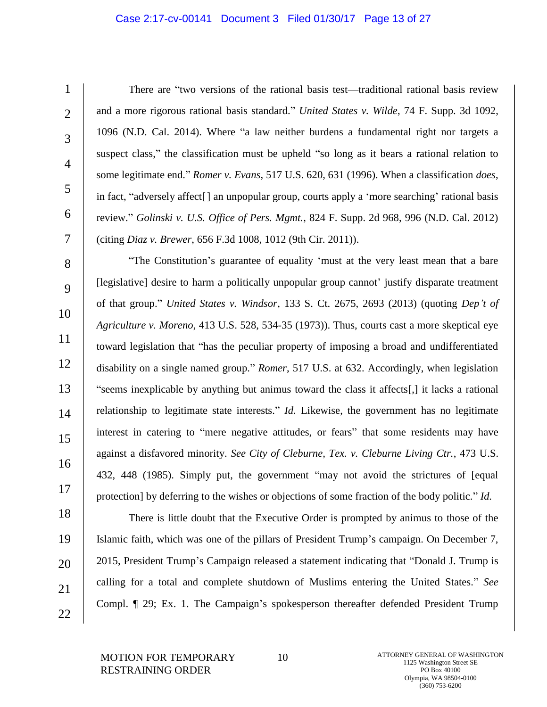#### Case 2:17-cv-00141 Document 3 Filed 01/30/17 Page 13 of 27

There are "two versions of the rational basis test—traditional rational basis review and a more rigorous rational basis standard." *United States v. Wilde*, 74 F. Supp. 3d 1092, 1096 (N.D. Cal. 2014). Where "a law neither burdens a fundamental right nor targets a suspect class," the classification must be upheld "so long as it bears a rational relation to some legitimate end." *Romer v. Evans*, 517 U.S. 620, 631 (1996). When a classification *does*, in fact, "adversely affect[] an unpopular group, courts apply a 'more searching' rational basis review." *Golinski v. U.S. Office of Pers. Mgmt.*, 824 F. Supp. 2d 968, 996 (N.D. Cal. 2012) (citing *Diaz v. Brewer*, 656 F.3d 1008, 1012 (9th Cir. 2011)).

"The Constitution's guarantee of equality 'must at the very least mean that a bare [legislative] desire to harm a politically unpopular group cannot' justify disparate treatment of that group." *United States v. Windsor*, 133 S. Ct. 2675, 2693 (2013) (quoting *Dep't of Agriculture v. Moreno*, 413 U.S. 528, 534-35 (1973)). Thus, courts cast a more skeptical eye toward legislation that "has the peculiar property of imposing a broad and undifferentiated disability on a single named group." *Romer*, 517 U.S. at 632. Accordingly, when legislation "seems inexplicable by anything but animus toward the class it affects[,] it lacks a rational relationship to legitimate state interests." *Id.* Likewise, the government has no legitimate interest in catering to "mere negative attitudes, or fears" that some residents may have against a disfavored minority. *See City of Cleburne, Tex. v. Cleburne Living Ctr.*, 473 U.S. 432, 448 (1985). Simply put, the government "may not avoid the strictures of [equal protection] by deferring to the wishes or objections of some fraction of the body politic." *Id.*

There is little doubt that the Executive Order is prompted by animus to those of the Islamic faith, which was one of the pillars of President Trump's campaign. On December 7, 2015, President Trump's Campaign released a statement indicating that "Donald J. Trump is calling for a total and complete shutdown of Muslims entering the United States." *See* Compl. ¶ 29; Ex. 1. The Campaign's spokesperson thereafter defended President Trump

MOTION FOR TEMPORARY RESTRAINING ORDER

1

 $\mathfrak{D}$ 

3

4

5

6

7

8

9

10

11

12

13

14

15

16

17

18

19

20

21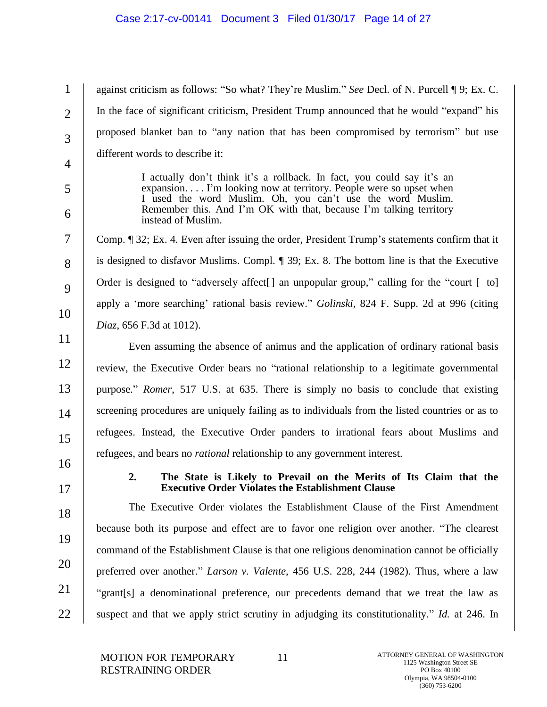| $\mathbf{1}$   | against criticism as follows: "So what? They're Muslim." See Decl. of N. Purcell ¶ 9; Ex. C.                                                                                                              |
|----------------|-----------------------------------------------------------------------------------------------------------------------------------------------------------------------------------------------------------|
| $\overline{2}$ | In the face of significant criticism, President Trump announced that he would "expand" his                                                                                                                |
| 3              | proposed blanket ban to "any nation that has been compromised by terrorism" but use                                                                                                                       |
| $\overline{4}$ | different words to describe it:                                                                                                                                                                           |
| 5              | I actually don't think it's a rollback. In fact, you could say it's an<br>expansion I'm looking now at territory. People were so upset when<br>I used the word Muslim. Oh, you can't use the word Muslim. |
| 6              | Remember this. And I'm OK with that, because I'm talking territory<br>instead of Muslim.                                                                                                                  |
| $\overline{7}$ | Comp. ¶ 32; Ex. 4. Even after issuing the order, President Trump's statements confirm that it                                                                                                             |
| 8              | is designed to disfavor Muslims. Compl. ¶ 39; Ex. 8. The bottom line is that the Executive                                                                                                                |
| 9              | Order is designed to "adversely affect[] an unpopular group," calling for the "court [ to]                                                                                                                |
| 10             | apply a 'more searching' rational basis review." Golinski, 824 F. Supp. 2d at 996 (citing                                                                                                                 |
|                | Diaz, 656 F.3d at 1012).                                                                                                                                                                                  |
| 11             | Even assuming the absence of animus and the application of ordinary rational basis                                                                                                                        |
| 12             | review, the Executive Order bears no "rational relationship to a legitimate governmental                                                                                                                  |
| 13             | purpose." Romer, 517 U.S. at 635. There is simply no basis to conclude that existing                                                                                                                      |
| 14             | screening procedures are uniquely failing as to individuals from the listed countries or as to                                                                                                            |
| 15             | refugees. Instead, the Executive Order panders to irrational fears about Muslims and                                                                                                                      |
| 16             | refugees, and bears no <i>rational</i> relationship to any government interest.                                                                                                                           |
| 17             | The State is Likely to Prevail on the Merits of Its Claim that the<br>2.<br><b>Executive Order Violates the Establishment Clause</b>                                                                      |
| 18             | The Executive Order violates the Establishment Clause of the First Amendment                                                                                                                              |
| 19             | because both its purpose and effect are to favor one religion over another. "The clearest                                                                                                                 |
|                | command of the Establishment Clause is that one religious denomination cannot be officially                                                                                                               |
| 20             | preferred over another." Larson v. Valente, 456 U.S. 228, 244 (1982). Thus, where a law                                                                                                                   |
| 21             | "grant[s] a denominational preference, our precedents demand that we treat the law as                                                                                                                     |
| 22             | suspect and that we apply strict scrutiny in adjudging its constitutionality." Id. at 246. In                                                                                                             |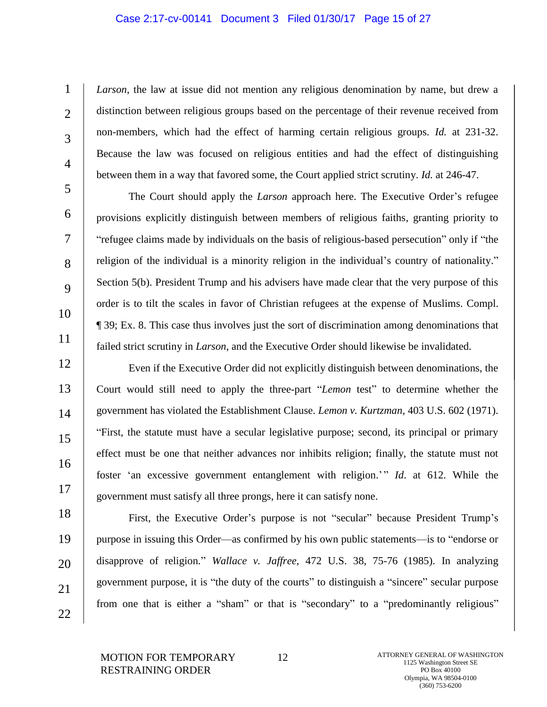# Case 2:17-cv-00141 Document 3 Filed 01/30/17 Page 15 of 27

*Larson*, the law at issue did not mention any religious denomination by name, but drew a distinction between religious groups based on the percentage of their revenue received from non-members, which had the effect of harming certain religious groups. *Id.* at 231-32. Because the law was focused on religious entities and had the effect of distinguishing between them in a way that favored some, the Court applied strict scrutiny. *Id.* at 246-47.

The Court should apply the *Larson* approach here. The Executive Order's refugee provisions explicitly distinguish between members of religious faiths, granting priority to "refugee claims made by individuals on the basis of religious-based persecution" only if "the religion of the individual is a minority religion in the individual's country of nationality." Section 5(b). President Trump and his advisers have made clear that the very purpose of this order is to tilt the scales in favor of Christian refugees at the expense of Muslims. Compl. ¶ 39; Ex. 8. This case thus involves just the sort of discrimination among denominations that failed strict scrutiny in *Larson*, and the Executive Order should likewise be invalidated.

Even if the Executive Order did not explicitly distinguish between denominations, the Court would still need to apply the three-part "*Lemon* test" to determine whether the government has violated the Establishment Clause. *Lemon v. Kurtzman*, 403 U.S. 602 (1971). "First, the statute must have a secular legislative purpose; second, its principal or primary effect must be one that neither advances nor inhibits religion; finally, the statute must not foster 'an excessive government entanglement with religion.'" *Id*. at 612. While the government must satisfy all three prongs, here it can satisfy none.

18 19 20 21 22 First, the Executive Order's purpose is not "secular" because President Trump's purpose in issuing this Order—as confirmed by his own public statements—is to "endorse or disapprove of religion." *Wallace v. Jaffree*, 472 U.S. 38, 75-76 (1985). In analyzing government purpose, it is "the duty of the courts" to distinguish a "sincere" secular purpose from one that is either a "sham" or that is "secondary" to a "predominantly religious"

MOTION FOR TEMPORARY RESTRAINING ORDER

1

 $\mathfrak{D}$ 

3

4

5

6

7

8

9

10

11

12

13

14

15

16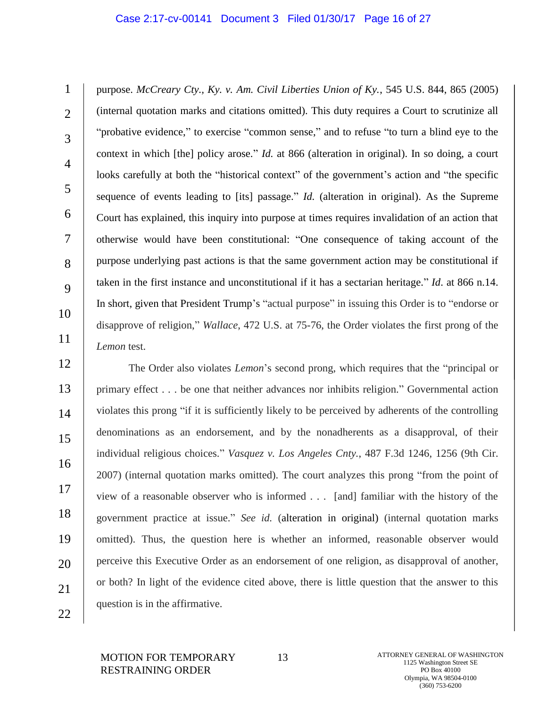#### Case 2:17-cv-00141 Document 3 Filed 01/30/17 Page 16 of 27

1  $\mathfrak{D}$ 3 4 5 6 7 8 9 10 11 purpose. *McCreary Cty., Ky. v. Am. Civil Liberties Union of Ky.*, 545 U.S. 844, 865 (2005) (internal quotation marks and citations omitted). This duty requires a Court to scrutinize all "probative evidence," to exercise "common sense," and to refuse "to turn a blind eye to the context in which [the] policy arose." *Id.* at 866 (alteration in original). In so doing, a court looks carefully at both the "historical context" of the government's action and "the specific sequence of events leading to [its] passage." *Id.* (alteration in original). As the Supreme Court has explained, this inquiry into purpose at times requires invalidation of an action that otherwise would have been constitutional: "One consequence of taking account of the purpose underlying past actions is that the same government action may be constitutional if taken in the first instance and unconstitutional if it has a sectarian heritage." *Id*. at 866 n.14. In short, given that President Trump's "actual purpose" in issuing this Order is to "endorse or disapprove of religion," *Wallace*, 472 U.S. at 75-76, the Order violates the first prong of the *Lemon* test.

12 13 14 15 16 17 18 19 20 21 The Order also violates *Lemon*'s second prong, which requires that the "principal or primary effect . . . be one that neither advances nor inhibits religion." Governmental action violates this prong "if it is sufficiently likely to be perceived by adherents of the controlling denominations as an endorsement, and by the nonadherents as a disapproval, of their individual religious choices." *Vasquez v. Los Angeles Cnty.*, 487 F.3d 1246, 1256 (9th Cir. 2007) (internal quotation marks omitted). The court analyzes this prong "from the point of view of a reasonable observer who is informed . . . [and] familiar with the history of the government practice at issue." *See id.* (alteration in original) (internal quotation marks omitted). Thus, the question here is whether an informed, reasonable observer would perceive this Executive Order as an endorsement of one religion, as disapproval of another, or both? In light of the evidence cited above, there is little question that the answer to this question is in the affirmative.

22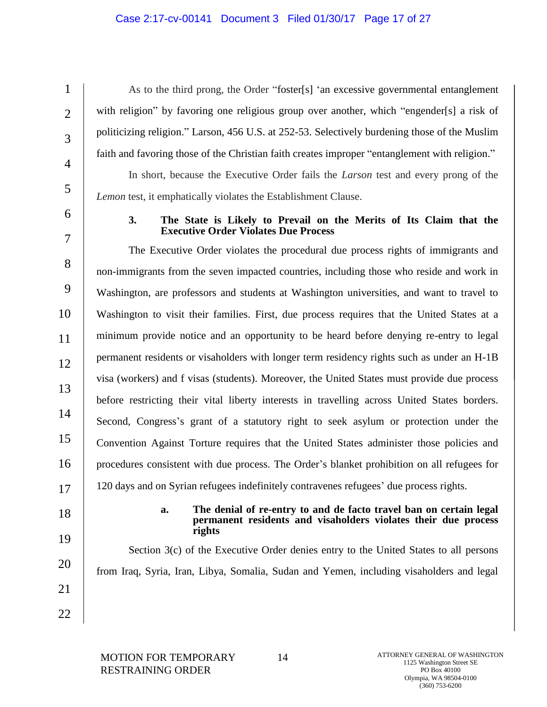## Case 2:17-cv-00141 Document 3 Filed 01/30/17 Page 17 of 27

As to the third prong, the Order "foster[s] 'an excessive governmental entanglement with religion" by favoring one religious group over another, which "engender[s] a risk of politicizing religion." Larson, 456 U.S. at 252-53. Selectively burdening those of the Muslim faith and favoring those of the Christian faith creates improper "entanglement with religion." In short, because the Executive Order fails the *Larson* test and every prong of the *Lemon* test, it emphatically violates the Establishment Clause.

6

7

1

 $\mathcal{L}$ 

3

4

5

## **3. The State is Likely to Prevail on the Merits of Its Claim that the Executive Order Violates Due Process**

8 9 10 11 12 13 14 15 16 17 The Executive Order violates the procedural due process rights of immigrants and non-immigrants from the seven impacted countries, including those who reside and work in Washington, are professors and students at Washington universities, and want to travel to Washington to visit their families. First, due process requires that the United States at a minimum provide notice and an opportunity to be heard before denying re-entry to legal permanent residents or visaholders with longer term residency rights such as under an H-1B visa (workers) and f visas (students). Moreover, the United States must provide due process before restricting their vital liberty interests in travelling across United States borders. Second, Congress's grant of a statutory right to seek asylum or protection under the Convention Against Torture requires that the United States administer those policies and procedures consistent with due process. The Order's blanket prohibition on all refugees for 120 days and on Syrian refugees indefinitely contravenes refugees' due process rights.

18 19

#### **a. The denial of re-entry to and de facto travel ban on certain legal permanent residents and visaholders violates their due process rights**

Section 3(c) of the Executive Order denies entry to the United States to all persons from Iraq, Syria, Iran, Libya, Somalia, Sudan and Yemen, including visaholders and legal

22

21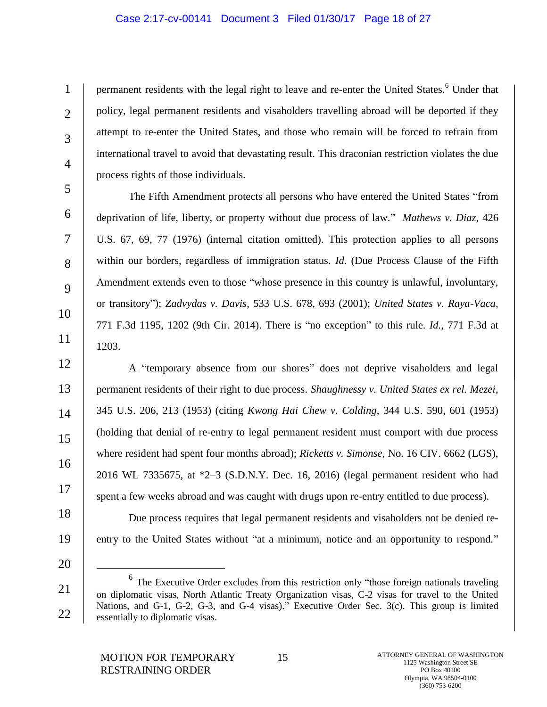## Case 2:17-cv-00141 Document 3 Filed 01/30/17 Page 18 of 27

permanent residents with the legal right to leave and re-enter the United States.<sup>6</sup> Under that policy, legal permanent residents and visaholders travelling abroad will be deported if they attempt to re-enter the United States, and those who remain will be forced to refrain from international travel to avoid that devastating result. This draconian restriction violates the due process rights of those individuals.

The Fifth Amendment protects all persons who have entered the United States "from deprivation of life, liberty, or property without due process of law." *Mathews v. Diaz*, 426 U.S. 67, 69, 77 (1976) (internal citation omitted). This protection applies to all persons within our borders, regardless of immigration status. *Id*. (Due Process Clause of the Fifth Amendment extends even to those "whose presence in this country is unlawful, involuntary, or transitory"); *Zadvydas v. Davis*, 533 U.S. 678, 693 (2001); *United States v. Raya-Vaca*, 771 F.3d 1195, 1202 (9th Cir. 2014). There is "no exception" to this rule. *Id.*, 771 F.3d at 1203.

A "temporary absence from our shores" does not deprive visaholders and legal permanent residents of their right to due process. *Shaughnessy v. United States ex rel. Mezei*, 345 U.S. 206, 213 (1953) (citing *Kwong Hai Chew v. Colding*, 344 U.S. 590, 601 (1953) (holding that denial of re-entry to legal permanent resident must comport with due process where resident had spent four months abroad); *Ricketts v. Simonse*, No. 16 CIV. 6662 (LGS), 2016 WL 7335675, at \*2–3 (S.D.N.Y. Dec. 16, 2016) (legal permanent resident who had spent a few weeks abroad and was caught with drugs upon re-entry entitled to due process).

Due process requires that legal permanent residents and visaholders not be denied reentry to the United States without "at a minimum, notice and an opportunity to respond."

20

 $\overline{a}$ 

21

22

1

 $\mathcal{L}$ 

3

4

5

6

7

8

9

10

11

12

13

14

15

16

17

18

<sup>&</sup>lt;sup>6</sup> The Executive Order excludes from this restriction only "those foreign nationals traveling on diplomatic visas, North Atlantic Treaty Organization visas, C-2 visas for travel to the United Nations, and G-1, G-2, G-3, and G-4 visas)." Executive Order Sec. 3(c). This group is limited essentially to diplomatic visas.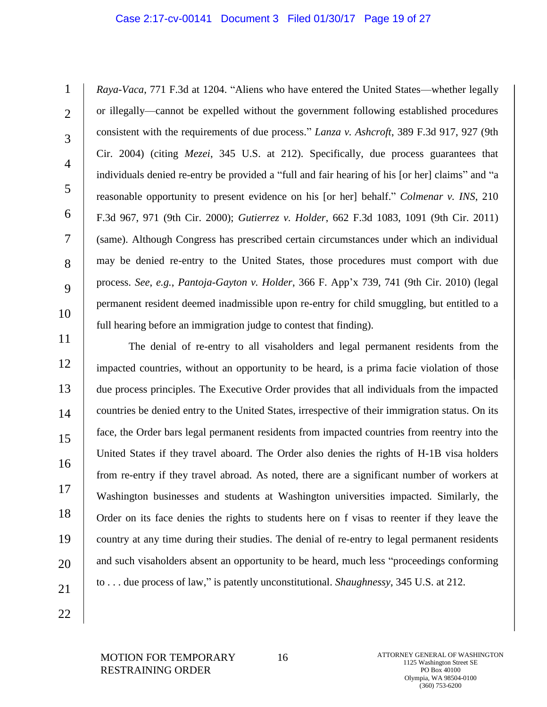### Case 2:17-cv-00141 Document 3 Filed 01/30/17 Page 19 of 27

1  $\mathcal{L}$ 3 4 5 6 7 8 9 10 *Raya-Vaca*, 771 F.3d at 1204. "Aliens who have entered the United States—whether legally or illegally—cannot be expelled without the government following established procedures consistent with the requirements of due process." *Lanza v. Ashcroft*, 389 F.3d 917, 927 (9th Cir. 2004) (citing *Mezei*, 345 U.S. at 212). Specifically, due process guarantees that individuals denied re-entry be provided a "full and fair hearing of his [or her] claims" and "a reasonable opportunity to present evidence on his [or her] behalf." *Colmenar v. INS*, 210 F.3d 967, 971 (9th Cir. 2000); *Gutierrez v. Holder*, 662 F.3d 1083, 1091 (9th Cir. 2011) (same). Although Congress has prescribed certain circumstances under which an individual may be denied re-entry to the United States, those procedures must comport with due process. *See*, *e.g.*, *Pantoja-Gayton v. Holder*, 366 F. App'x 739, 741 (9th Cir. 2010) (legal permanent resident deemed inadmissible upon re-entry for child smuggling, but entitled to a full hearing before an immigration judge to contest that finding).

11 12 13 14 15 16 17 18 19 20 21 The denial of re-entry to all visaholders and legal permanent residents from the impacted countries, without an opportunity to be heard, is a prima facie violation of those due process principles. The Executive Order provides that all individuals from the impacted countries be denied entry to the United States, irrespective of their immigration status. On its face, the Order bars legal permanent residents from impacted countries from reentry into the United States if they travel aboard. The Order also denies the rights of H-1B visa holders from re-entry if they travel abroad. As noted, there are a significant number of workers at Washington businesses and students at Washington universities impacted. Similarly, the Order on its face denies the rights to students here on f visas to reenter if they leave the country at any time during their studies. The denial of re-entry to legal permanent residents and such visaholders absent an opportunity to be heard, much less "proceedings conforming to . . . due process of law," is patently unconstitutional. *Shaughnessy*, 345 U.S. at 212.

22

MOTION FOR TEMPORARY RESTRAINING ORDER

16 ATTORNEY GENERAL OF WASHINGTON 1125 Washington Street SE PO Box 40100 Olympia, WA 98504-0100 (360) 753-6200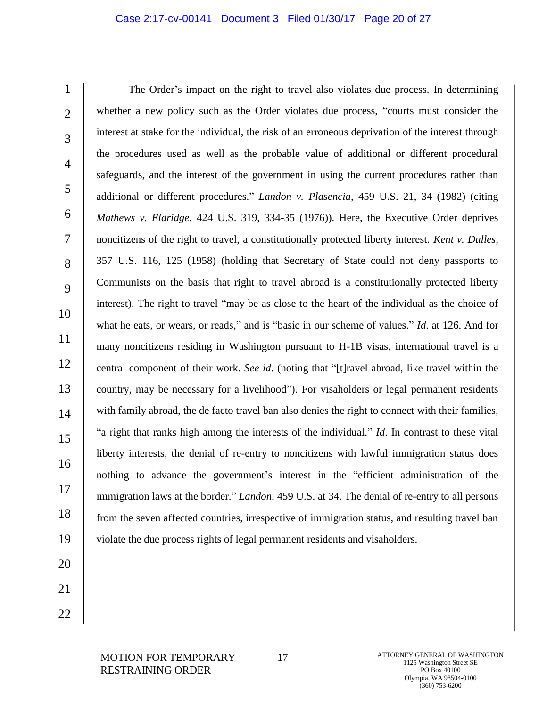## Case 2:17-cv-00141 Document 3 Filed 01/30/17 Page 20 of 27

1  $\mathfrak{D}$ 3 4 5 6 7 8 9 10 11 12 13 14 15 16 17 18 19 The Order's impact on the right to travel also violates due process. In determining whether a new policy such as the Order violates due process, "courts must consider the interest at stake for the individual, the risk of an erroneous deprivation of the interest through the procedures used as well as the probable value of additional or different procedural safeguards, and the interest of the government in using the current procedures rather than additional or different procedures." *Landon v. Plasencia*, 459 U.S. 21, 34 (1982) (citing *Mathews v. Eldridge*, 424 U.S. 319, 334-35 (1976)). Here, the Executive Order deprives noncitizens of the right to travel, a constitutionally protected liberty interest. *Kent v. Dulles*, 357 U.S. 116, 125 (1958) (holding that Secretary of State could not deny passports to Communists on the basis that right to travel abroad is a constitutionally protected liberty interest). The right to travel "may be as close to the heart of the individual as the choice of what he eats, or wears, or reads," and is "basic in our scheme of values." *Id*. at 126. And for many noncitizens residing in Washington pursuant to H-1B visas, international travel is a central component of their work. *See id*. (noting that "[t]ravel abroad, like travel within the country, may be necessary for a livelihood"). For visaholders or legal permanent residents with family abroad, the de facto travel ban also denies the right to connect with their families, "a right that ranks high among the interests of the individual." *Id*. In contrast to these vital liberty interests, the denial of re-entry to noncitizens with lawful immigration status does nothing to advance the government's interest in the "efficient administration of the immigration laws at the border." *Landon*, 459 U.S. at 34. The denial of re-entry to all persons from the seven affected countries, irrespective of immigration status, and resulting travel ban violate the due process rights of legal permanent residents and visaholders.

- 20 21
- 22

17 ATTORNEY GENERAL OF WASHINGTON 1125 Washington Street SE PO Box 40100 Olympia, WA 98504-0100 (360) 753-6200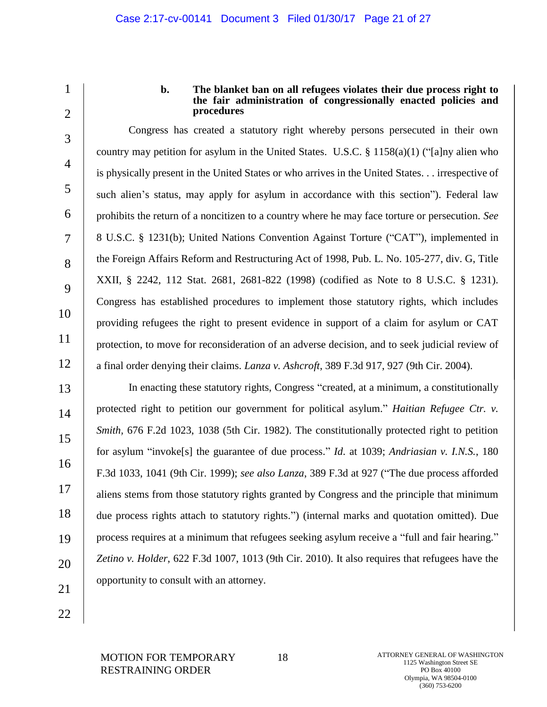1  $\mathfrak{D}$ 

3

4

5

6

7

8

9

10

11

12

## **b. The blanket ban on all refugees violates their due process right to the fair administration of congressionally enacted policies and procedures**

Congress has created a statutory right whereby persons persecuted in their own country may petition for asylum in the United States. U.S.C. § 1158(a)(1) ("[a]ny alien who is physically present in the United States or who arrives in the United States. . . irrespective of such alien's status, may apply for asylum in accordance with this section"). Federal law prohibits the return of a noncitizen to a country where he may face torture or persecution. *See* 8 U.S.C. § 1231(b); United Nations Convention Against Torture ("CAT"), implemented in the Foreign Affairs Reform and Restructuring Act of 1998, Pub. L. No. 105-277, div. G, Title XXII, § 2242, 112 Stat. 2681, 2681-822 (1998) (codified as Note to 8 U.S.C. § 1231). Congress has established procedures to implement those statutory rights, which includes providing refugees the right to present evidence in support of a claim for asylum or CAT protection, to move for reconsideration of an adverse decision, and to seek judicial review of a final order denying their claims. *Lanza v. Ashcroft*, 389 F.3d 917, 927 (9th Cir. 2004).

13 14 15 16 17 18 19 20 21 In enacting these statutory rights, Congress "created, at a minimum, a constitutionally protected right to petition our government for political asylum." *Haitian Refugee Ctr. v. Smith,* 676 F.2d 1023, 1038 (5th Cir. 1982). The constitutionally protected right to petition for asylum "invoke[s] the guarantee of due process." *Id*. at 1039; *Andriasian v. I.N.S.*, 180 F.3d 1033, 1041 (9th Cir. 1999); *see also Lanza*, 389 F.3d at 927 ("The due process afforded aliens stems from those statutory rights granted by Congress and the principle that minimum due process rights attach to statutory rights.") (internal marks and quotation omitted). Due process requires at a minimum that refugees seeking asylum receive a "full and fair hearing." *Zetino v. Holder*, 622 F.3d 1007, 1013 (9th Cir. 2010). It also requires that refugees have the opportunity to consult with an attorney.

22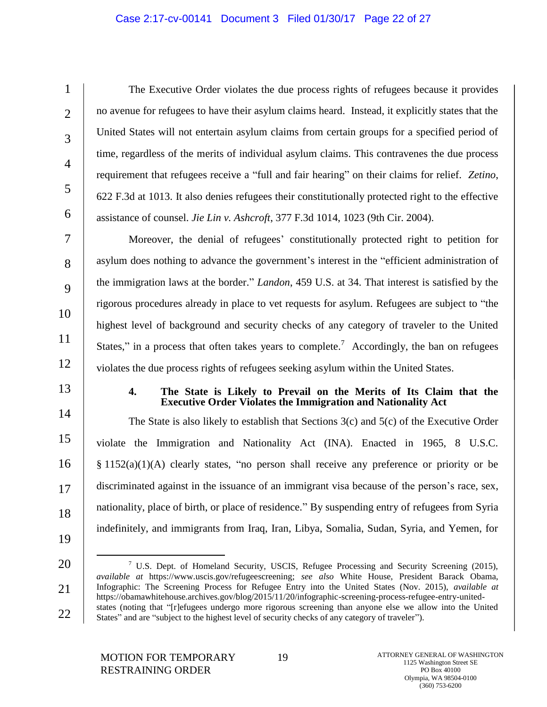# Case 2:17-cv-00141 Document 3 Filed 01/30/17 Page 22 of 27

The Executive Order violates the due process rights of refugees because it provides no avenue for refugees to have their asylum claims heard. Instead, it explicitly states that the United States will not entertain asylum claims from certain groups for a specified period of time, regardless of the merits of individual asylum claims. This contravenes the due process requirement that refugees receive a "full and fair hearing" on their claims for relief. *Zetino*, 622 F.3d at 1013. It also denies refugees their constitutionally protected right to the effective assistance of counsel. *Jie Lin v. Ashcroft*, 377 F.3d 1014, 1023 (9th Cir. 2004).

Moreover, the denial of refugees' constitutionally protected right to petition for asylum does nothing to advance the government's interest in the "efficient administration of the immigration laws at the border." *Landon*, 459 U.S. at 34. That interest is satisfied by the rigorous procedures already in place to vet requests for asylum. Refugees are subject to "the highest level of background and security checks of any category of traveler to the United States," in a process that often takes years to complete.<sup>7</sup> Accordingly, the ban on refugees violates the due process rights of refugees seeking asylum within the United States.

13

14

15

16

17

18

1

 $\mathcal{L}$ 

3

4

5

6

7

8

9

10

11

12

## **4. The State is Likely to Prevail on the Merits of Its Claim that the Executive Order Violates the Immigration and Nationality Act**

The State is also likely to establish that Sections 3(c) and 5(c) of the Executive Order violate the Immigration and Nationality Act (INA). Enacted in 1965, 8 U.S.C.  $§$  1152(a)(1)(A) clearly states, "no person shall receive any preference or priority or be discriminated against in the issuance of an immigrant visa because of the person's race, sex, nationality, place of birth, or place of residence." By suspending entry of refugees from Syria indefinitely, and immigrants from Iraq, Iran, Libya, Somalia, Sudan, Syria, and Yemen, for

19

 $\overline{a}$ 

20

<sup>&</sup>lt;sup>7</sup> U.S. Dept. of Homeland Security, USCIS, Refugee Processing and Security Screening (2015), *available at* https://www.uscis.gov/refugeescreening; *see also* White House, President Barack Obama, Infographic: The Screening Process for Refugee Entry into the United States (Nov. 2015), *available at*  https://obamawhitehouse.archives.gov/blog/2015/11/20/infographic-screening-process-refugee-entry-unitedstates (noting that "[r]efugees undergo more rigorous screening than anyone else we allow into the United States" and are "subject to the highest level of security checks of any category of traveler").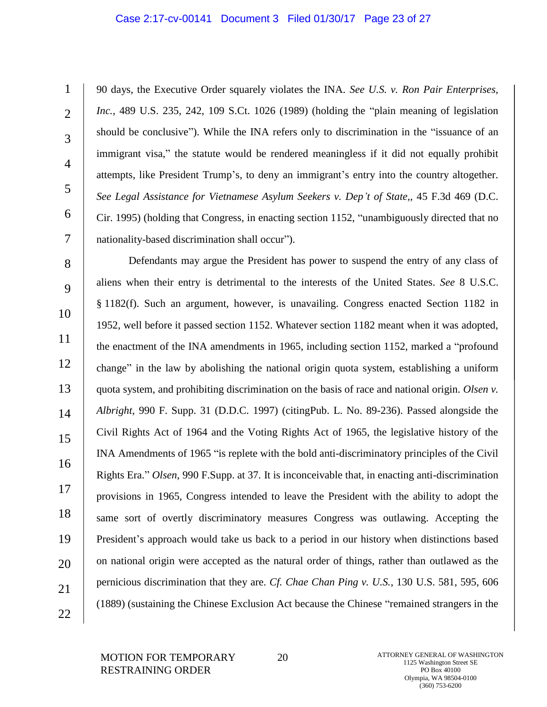#### Case 2:17-cv-00141 Document 3 Filed 01/30/17 Page 23 of 27

1  $\mathcal{L}$ 3 4 5 6 7 90 days, the Executive Order squarely violates the INA. *See U.S. v. Ron Pair Enterprises, Inc.*, 489 U.S. 235, 242, 109 S.Ct. 1026 (1989) (holding the "plain meaning of legislation should be conclusive"). While the INA refers only to discrimination in the "issuance of an immigrant visa," the statute would be rendered meaningless if it did not equally prohibit attempts, like President Trump's, to deny an immigrant's entry into the country altogether. *See Legal Assistance for Vietnamese Asylum Seekers v. Dep't of State,*, 45 F.3d 469 (D.C. Cir. 1995) (holding that Congress, in enacting section 1152, "unambiguously directed that no nationality-based discrimination shall occur").

8 9 10 11 12 13 14 15 16 17 18 19 20 21 22 Defendants may argue the President has power to suspend the entry of any class of aliens when their entry is detrimental to the interests of the United States. *See* 8 U.S.C. § 1182(f). Such an argument, however, is unavailing. Congress enacted Section 1182 in 1952, well before it passed section 1152. Whatever section 1182 meant when it was adopted, the enactment of the INA amendments in 1965, including section 1152, marked a "profound change" in the law by abolishing the national origin quota system, establishing a uniform quota system, and prohibiting discrimination on the basis of race and national origin. *Olsen v. Albright*, 990 F. Supp. 31 (D.D.C. 1997) (citingPub. L. No. 89-236). Passed alongside the Civil Rights Act of 1964 and the Voting Rights Act of 1965, the legislative history of the INA Amendments of 1965 "is replete with the bold anti-discriminatory principles of the Civil Rights Era." *Olsen*, 990 F.Supp. at 37*.* It is inconceivable that, in enacting anti-discrimination provisions in 1965, Congress intended to leave the President with the ability to adopt the same sort of overtly discriminatory measures Congress was outlawing. Accepting the President's approach would take us back to a period in our history when distinctions based on national origin were accepted as the natural order of things, rather than outlawed as the pernicious discrimination that they are. *Cf. Chae Chan Ping v. U.S.*, 130 U.S. 581, 595, 606 (1889) (sustaining the Chinese Exclusion Act because the Chinese "remained strangers in the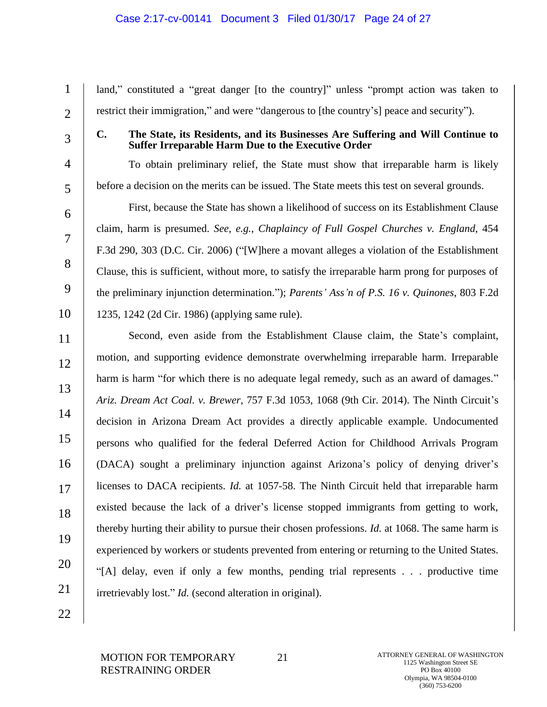## Case 2:17-cv-00141 Document 3 Filed 01/30/17 Page 24 of 27

land," constituted a "great danger [to the country]" unless "prompt action was taken to restrict their immigration," and were "dangerous to [the country's] peace and security").

3

4

5

6

7

8

9

10

1

 $\mathcal{L}$ 

# **C. The State, its Residents, and its Businesses Are Suffering and Will Continue to Suffer Irreparable Harm Due to the Executive Order**

To obtain preliminary relief, the State must show that irreparable harm is likely before a decision on the merits can be issued. The State meets this test on several grounds.

First, because the State has shown a likelihood of success on its Establishment Clause claim, harm is presumed. *See, e.g.*, *Chaplaincy of Full Gospel Churches v. England*, 454 F.3d 290, 303 (D.C. Cir. 2006) ("[W]here a movant alleges a violation of the Establishment Clause, this is sufficient, without more, to satisfy the irreparable harm prong for purposes of the preliminary injunction determination."); *Parents' Ass'n of P.S. 16 v. Quinones*, 803 F.2d 1235, 1242 (2d Cir. 1986) (applying same rule).

11 12 13 14 15 16 17 18 19 20 21 Second, even aside from the Establishment Clause claim, the State's complaint, motion, and supporting evidence demonstrate overwhelming irreparable harm. Irreparable harm is harm "for which there is no adequate legal remedy, such as an award of damages." *Ariz. Dream Act Coal. v. Brewer*, 757 F.3d 1053, 1068 (9th Cir. 2014). The Ninth Circuit's decision in Arizona Dream Act provides a directly applicable example. Undocumented persons who qualified for the federal Deferred Action for Childhood Arrivals Program (DACA) sought a preliminary injunction against Arizona's policy of denying driver's licenses to DACA recipients. *Id.* at 1057-58. The Ninth Circuit held that irreparable harm existed because the lack of a driver's license stopped immigrants from getting to work, thereby hurting their ability to pursue their chosen professions. *Id.* at 1068. The same harm is experienced by workers or students prevented from entering or returning to the United States. "[A] delay, even if only a few months, pending trial represents . . . productive time irretrievably lost." *Id.* (second alteration in original).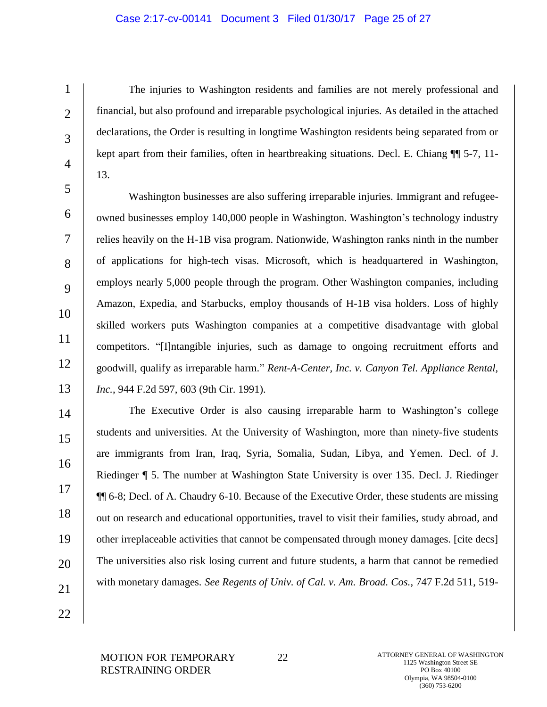## Case 2:17-cv-00141 Document 3 Filed 01/30/17 Page 25 of 27

The injuries to Washington residents and families are not merely professional and financial, but also profound and irreparable psychological injuries. As detailed in the attached declarations, the Order is resulting in longtime Washington residents being separated from or kept apart from their families, often in heartbreaking situations. Decl. E. Chiang ¶¶ 5-7, 11- 13.

5 6 7 8 9 10 11 12 13 Washington businesses are also suffering irreparable injuries. Immigrant and refugeeowned businesses employ 140,000 people in Washington. Washington's technology industry relies heavily on the H-1B visa program. Nationwide, Washington ranks ninth in the number of applications for high-tech visas. Microsoft, which is headquartered in Washington, employs nearly 5,000 people through the program. Other Washington companies, including Amazon, Expedia, and Starbucks, employ thousands of H-1B visa holders. Loss of highly skilled workers puts Washington companies at a competitive disadvantage with global competitors. "[I]ntangible injuries, such as damage to ongoing recruitment efforts and goodwill, qualify as irreparable harm." *Rent-A-Center, Inc. v. Canyon Tel. Appliance Rental, Inc.*, 944 F.2d 597, 603 (9th Cir. 1991).

14 15 16 17 18 19 20 21 The Executive Order is also causing irreparable harm to Washington's college students and universities. At the University of Washington, more than ninety-five students are immigrants from Iran, Iraq, Syria, Somalia, Sudan, Libya, and Yemen. Decl. of J. Riedinger ¶ 5. The number at Washington State University is over 135. Decl. J. Riedinger ¶¶ 6-8; Decl. of A. Chaudry 6-10. Because of the Executive Order, these students are missing out on research and educational opportunities, travel to visit their families, study abroad, and other irreplaceable activities that cannot be compensated through money damages. [cite decs] The universities also risk losing current and future students, a harm that cannot be remedied with monetary damages. *See Regents of Univ. of Cal. v. Am. Broad. Cos.*, 747 F.2d 511, 519-

22

1

 $\mathfrak{D}$ 

3

4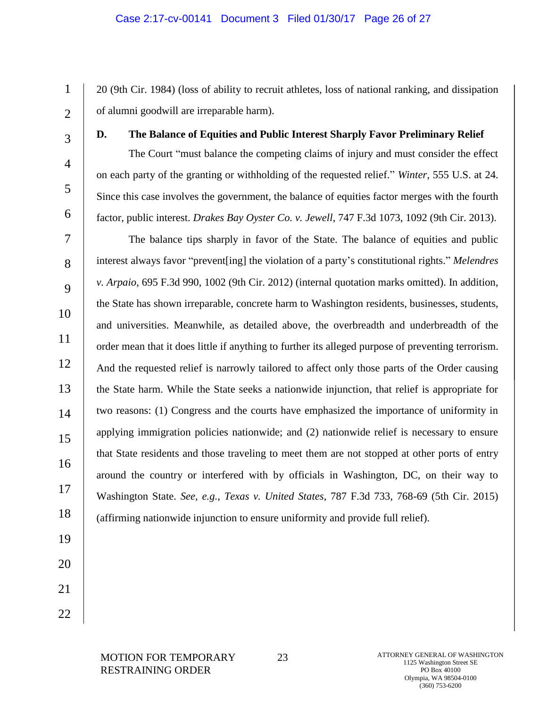## Case 2:17-cv-00141 Document 3 Filed 01/30/17 Page 26 of 27

20 (9th Cir. 1984) (loss of ability to recruit athletes, loss of national ranking, and dissipation of alumni goodwill are irreparable harm).

1

 $\mathcal{L}$ 

3

4

5

6

# **D. The Balance of Equities and Public Interest Sharply Favor Preliminary Relief**

The Court "must balance the competing claims of injury and must consider the effect on each party of the granting or withholding of the requested relief." *Winter*, 555 U.S. at 24. Since this case involves the government, the balance of equities factor merges with the fourth factor, public interest. *Drakes Bay Oyster Co. v. Jewell*, 747 F.3d 1073, 1092 (9th Cir. 2013).

7 8 9 10 11 12 13 14 15 16 17 18 The balance tips sharply in favor of the State. The balance of equities and public interest always favor "prevent[ing] the violation of a party's constitutional rights." *Melendres v. Arpaio*, 695 F.3d 990, 1002 (9th Cir. 2012) (internal quotation marks omitted). In addition, the State has shown irreparable, concrete harm to Washington residents, businesses, students, and universities. Meanwhile, as detailed above, the overbreadth and underbreadth of the order mean that it does little if anything to further its alleged purpose of preventing terrorism. And the requested relief is narrowly tailored to affect only those parts of the Order causing the State harm. While the State seeks a nationwide injunction, that relief is appropriate for two reasons: (1) Congress and the courts have emphasized the importance of uniformity in applying immigration policies nationwide; and (2) nationwide relief is necessary to ensure that State residents and those traveling to meet them are not stopped at other ports of entry around the country or interfered with by officials in Washington, DC, on their way to Washington State. *See, e.g.*, *Texas v. United States*, 787 F.3d 733, 768-69 (5th Cir. 2015) (affirming nationwide injunction to ensure uniformity and provide full relief).

- 19 20
- 21
- 22